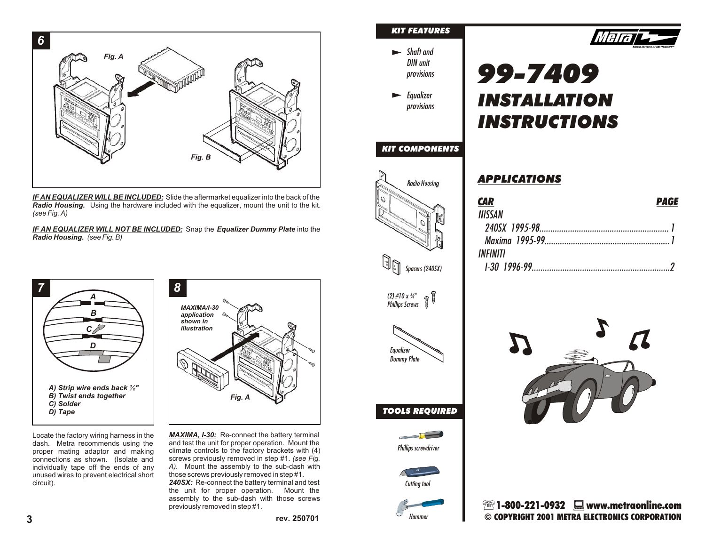

*IF AN EQUALIZER WILL BE INCLUDED:* Slide the aftermarket equalizer into the back of the *Radio Housing.* Using the hardware included with the equalizer, mount the unit to the kit. *(see Fig. A)*

*IF AN EQUALIZER WILL NOT BE INCLUDED:* Snap the *Equalizer Dummy Plate* into the *Radio Housing. (see Fig. B)*



Locate the factory wiring harness in the dash. Metra recommends using the proper mating adaptor and making connections as shown. (Isolate and individually tape off the ends of any unused wires to prevent electrical short circuit).

*MAXIMA, I-30:* Re-connect the battery terminal and test the unit for proper operation. Mount the climate controls to the factory brackets with (4) screws previously removed in step #1. *(see Fig. A).* Mount the assembly to the sub-dash with those screws previously removed in step #1.

*240SX:* Re-connect the battery terminal and test the unit for proper operation. Mount the assembly to the sub-dash with those screws previously removed in step #1.

### *KIT FEATURES*



*Equalizer provisions*

#### *KIT COMPONENTS*



| <b>CAR</b>    | <b>PAGE</b> |
|---------------|-------------|
| <b>NISSAN</b> |             |
|               |             |
|               |             |
| INFINITI      |             |
|               |             |

*99-7409*

*INSTALLATION* 

*INSTRUCTIONS*

*APPLICATIONS*



*Phillips Screws*





*TOOLS REQUIRED*





 $\mathbb{R}$  1-800-221-0932  $\Box$  www.metraonline.com **rev. 250701 COPYRIGHT 2001 METRA ELECTRONICS CORPORATION**